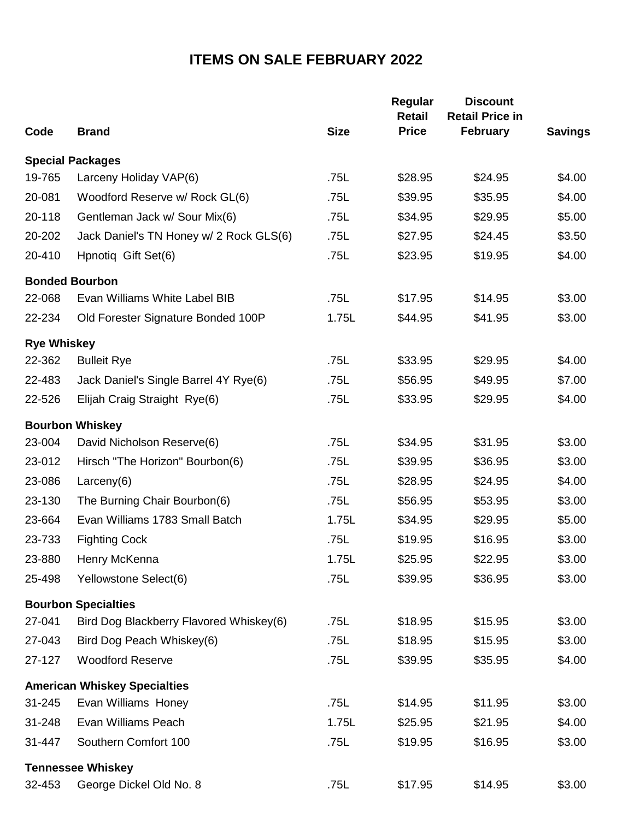## **ITEMS ON SALE FEBRUARY 2022**

| Code               | <b>Brand</b>                            | <b>Size</b> | Regular<br><b>Retail</b><br><b>Price</b> | <b>Discount</b><br><b>Retail Price in</b><br>February | <b>Savings</b> |
|--------------------|-----------------------------------------|-------------|------------------------------------------|-------------------------------------------------------|----------------|
|                    |                                         |             |                                          |                                                       |                |
|                    | <b>Special Packages</b>                 |             |                                          |                                                       |                |
| 19-765             | Larceny Holiday VAP(6)                  | .75L        | \$28.95                                  | \$24.95                                               | \$4.00         |
| 20-081             | Woodford Reserve w/ Rock GL(6)          | .75L        | \$39.95                                  | \$35.95                                               | \$4.00         |
| 20-118             | Gentleman Jack w/ Sour Mix(6)           | .75L        | \$34.95                                  | \$29.95                                               | \$5.00         |
| 20-202             | Jack Daniel's TN Honey w/ 2 Rock GLS(6) | .75L        | \$27.95                                  | \$24.45                                               | \$3.50         |
| 20-410             | Hpnotiq Gift Set(6)                     | .75L        | \$23.95                                  | \$19.95                                               | \$4.00         |
|                    | <b>Bonded Bourbon</b>                   |             |                                          |                                                       |                |
| 22-068             | Evan Williams White Label BIB           | .75L        | \$17.95                                  | \$14.95                                               | \$3.00         |
| 22-234             | Old Forester Signature Bonded 100P      | 1.75L       | \$44.95                                  | \$41.95                                               | \$3.00         |
| <b>Rye Whiskey</b> |                                         |             |                                          |                                                       |                |
| 22-362             | <b>Bulleit Rye</b>                      | .75L        | \$33.95                                  | \$29.95                                               | \$4.00         |
| 22-483             | Jack Daniel's Single Barrel 4Y Rye(6)   | .75L        | \$56.95                                  | \$49.95                                               | \$7.00         |
| 22-526             | Elijah Craig Straight Rye(6)            | .75L        | \$33.95                                  | \$29.95                                               | \$4.00         |
|                    | <b>Bourbon Whiskey</b>                  |             |                                          |                                                       |                |
| 23-004             | David Nicholson Reserve(6)              | .75L        | \$34.95                                  | \$31.95                                               | \$3.00         |
| 23-012             | Hirsch "The Horizon" Bourbon(6)         | .75L        | \$39.95                                  | \$36.95                                               | \$3.00         |
| 23-086             | Larceny $(6)$                           | .75L        | \$28.95                                  | \$24.95                                               | \$4.00         |
| 23-130             | The Burning Chair Bourbon(6)            | .75L        | \$56.95                                  | \$53.95                                               | \$3.00         |
| 23-664             | Evan Williams 1783 Small Batch          | 1.75L       | \$34.95                                  | \$29.95                                               | \$5.00         |
| 23-733             | <b>Fighting Cock</b>                    | .75L        | \$19.95                                  | \$16.95                                               | \$3.00         |
| 23-880             | Henry McKenna                           | 1.75L       | \$25.95                                  | \$22.95                                               | \$3.00         |
| 25-498             | Yellowstone Select(6)                   | .75L        | \$39.95                                  | \$36.95                                               | \$3.00         |
|                    | <b>Bourbon Specialties</b>              |             |                                          |                                                       |                |
| 27-041             | Bird Dog Blackberry Flavored Whiskey(6) | .75L        | \$18.95                                  | \$15.95                                               | \$3.00         |
| 27-043             | Bird Dog Peach Whiskey(6)               | .75L        | \$18.95                                  | \$15.95                                               | \$3.00         |
| 27-127             | <b>Woodford Reserve</b>                 | .75L        | \$39.95                                  | \$35.95                                               | \$4.00         |
|                    | <b>American Whiskey Specialties</b>     |             |                                          |                                                       |                |
| 31-245             | Evan Williams Honey                     | .75L        | \$14.95                                  | \$11.95                                               | \$3.00         |
| 31-248             | Evan Williams Peach                     | 1.75L       | \$25.95                                  | \$21.95                                               | \$4.00         |
| 31-447             | Southern Comfort 100                    | .75L        | \$19.95                                  | \$16.95                                               | \$3.00         |
|                    | <b>Tennessee Whiskey</b>                |             |                                          |                                                       |                |
| 32-453             | George Dickel Old No. 8                 | .75L        | \$17.95                                  | \$14.95                                               | \$3.00         |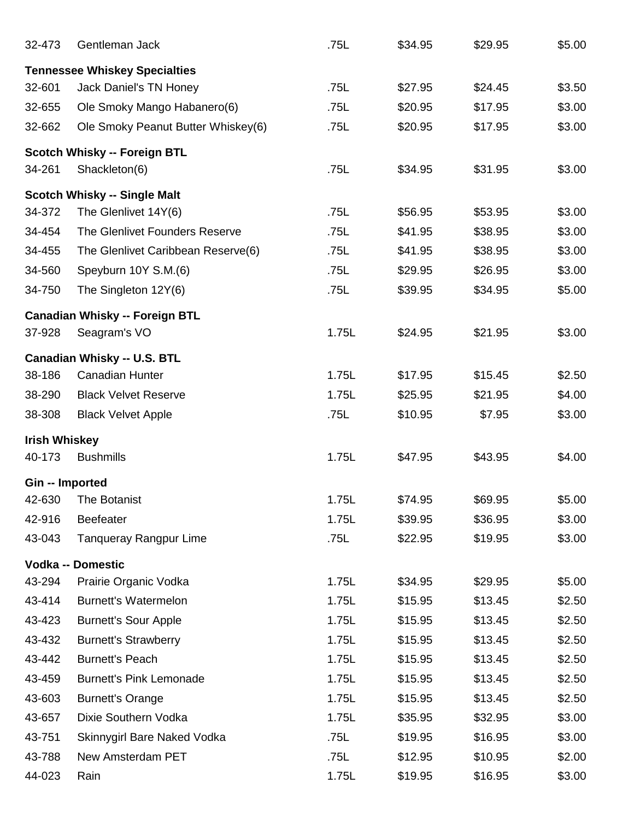| 32-473               | Gentleman Jack                                                 | .75L  | \$34.95 | \$29.95 | \$5.00 |
|----------------------|----------------------------------------------------------------|-------|---------|---------|--------|
|                      |                                                                |       |         |         |        |
| 32-601               | <b>Tennessee Whiskey Specialties</b><br>Jack Daniel's TN Honey | .75L  | \$27.95 | \$24.45 | \$3.50 |
| 32-655               | Ole Smoky Mango Habanero(6)                                    | .75L  | \$20.95 | \$17.95 | \$3.00 |
| 32-662               | Ole Smoky Peanut Butter Whiskey(6)                             | .75L  | \$20.95 | \$17.95 | \$3.00 |
|                      |                                                                |       |         |         |        |
|                      | <b>Scotch Whisky -- Foreign BTL</b>                            |       |         |         |        |
| 34-261               | Shackleton(6)                                                  | .75L  | \$34.95 | \$31.95 | \$3.00 |
|                      | <b>Scotch Whisky -- Single Malt</b>                            |       |         |         |        |
| 34-372               | The Glenlivet 14Y(6)                                           | .75L  | \$56.95 | \$53.95 | \$3.00 |
| 34-454               | The Glenlivet Founders Reserve                                 | .75L  | \$41.95 | \$38.95 | \$3.00 |
| 34-455               | The Glenlivet Caribbean Reserve(6)                             | .75L  | \$41.95 | \$38.95 | \$3.00 |
| 34-560               | Speyburn 10Y S.M.(6)                                           | .75L  | \$29.95 | \$26.95 | \$3.00 |
| 34-750               | The Singleton 12Y(6)                                           | .75L  | \$39.95 | \$34.95 | \$5.00 |
|                      | <b>Canadian Whisky -- Foreign BTL</b>                          |       |         |         |        |
| 37-928               | Seagram's VO                                                   | 1.75L | \$24.95 | \$21.95 | \$3.00 |
|                      | <b>Canadian Whisky -- U.S. BTL</b>                             |       |         |         |        |
| 38-186               | <b>Canadian Hunter</b>                                         | 1.75L | \$17.95 | \$15.45 | \$2.50 |
| 38-290               | <b>Black Velvet Reserve</b>                                    | 1.75L | \$25.95 | \$21.95 | \$4.00 |
| 38-308               | <b>Black Velvet Apple</b>                                      | .75L  | \$10.95 | \$7.95  | \$3.00 |
| <b>Irish Whiskey</b> |                                                                |       |         |         |        |
| 40-173               | <b>Bushmills</b>                                               | 1.75L | \$47.95 | \$43.95 | \$4.00 |
|                      |                                                                |       |         |         |        |
| Gin -- Imported      |                                                                |       |         |         |        |
| 42-630               | The Botanist                                                   | 1.75L | \$74.95 | \$69.95 | \$5.00 |
| 42-916               | <b>Beefeater</b>                                               | 1.75L | \$39.95 | \$36.95 | \$3.00 |
| 43-043               | <b>Tanqueray Rangpur Lime</b>                                  | .75L  | \$22.95 | \$19.95 | \$3.00 |
|                      | <b>Vodka -- Domestic</b>                                       |       |         |         |        |
| 43-294               | Prairie Organic Vodka                                          | 1.75L | \$34.95 | \$29.95 | \$5.00 |
| 43-414               | <b>Burnett's Watermelon</b>                                    | 1.75L | \$15.95 | \$13.45 | \$2.50 |
| 43-423               | <b>Burnett's Sour Apple</b>                                    | 1.75L | \$15.95 | \$13.45 | \$2.50 |
| 43-432               | <b>Burnett's Strawberry</b>                                    | 1.75L | \$15.95 | \$13.45 | \$2.50 |
| 43-442               | <b>Burnett's Peach</b>                                         | 1.75L | \$15.95 | \$13.45 | \$2.50 |
| 43-459               | <b>Burnett's Pink Lemonade</b>                                 | 1.75L | \$15.95 | \$13.45 | \$2.50 |
| 43-603               | <b>Burnett's Orange</b>                                        | 1.75L | \$15.95 | \$13.45 | \$2.50 |
| 43-657               | Dixie Southern Vodka                                           | 1.75L | \$35.95 | \$32.95 | \$3.00 |
| 43-751               | Skinnygirl Bare Naked Vodka                                    | .75L  | \$19.95 | \$16.95 | \$3.00 |
| 43-788               | New Amsterdam PET                                              | .75L  | \$12.95 | \$10.95 | \$2.00 |
| 44-023               | Rain                                                           | 1.75L | \$19.95 | \$16.95 | \$3.00 |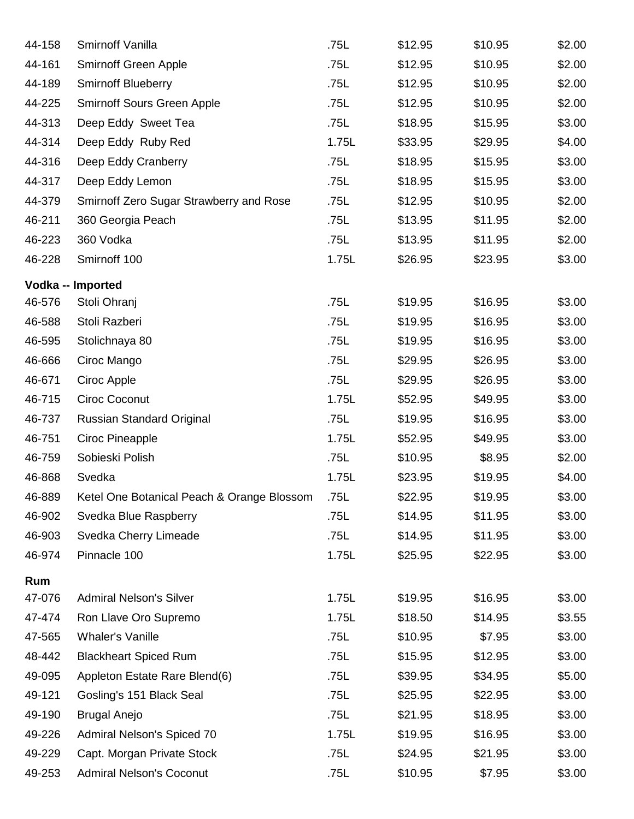| 44-158 | Smirnoff Vanilla                           | .75L  | \$12.95 | \$10.95 | \$2.00 |
|--------|--------------------------------------------|-------|---------|---------|--------|
| 44-161 | <b>Smirnoff Green Apple</b>                | .75L  | \$12.95 | \$10.95 | \$2.00 |
| 44-189 | <b>Smirnoff Blueberry</b>                  | .75L  | \$12.95 | \$10.95 | \$2.00 |
| 44-225 | <b>Smirnoff Sours Green Apple</b>          | .75L  | \$12.95 | \$10.95 | \$2.00 |
| 44-313 | Deep Eddy Sweet Tea                        | .75L  | \$18.95 | \$15.95 | \$3.00 |
| 44-314 | Deep Eddy Ruby Red                         | 1.75L | \$33.95 | \$29.95 | \$4.00 |
| 44-316 | Deep Eddy Cranberry                        | .75L  | \$18.95 | \$15.95 | \$3.00 |
| 44-317 | Deep Eddy Lemon                            | .75L  | \$18.95 | \$15.95 | \$3.00 |
| 44-379 | Smirnoff Zero Sugar Strawberry and Rose    | .75L  | \$12.95 | \$10.95 | \$2.00 |
| 46-211 | 360 Georgia Peach                          | .75L  | \$13.95 | \$11.95 | \$2.00 |
| 46-223 | 360 Vodka                                  | .75L  | \$13.95 | \$11.95 | \$2.00 |
| 46-228 | Smirnoff 100                               | 1.75L | \$26.95 | \$23.95 | \$3.00 |
|        | Vodka -- Imported                          |       |         |         |        |
| 46-576 | Stoli Ohranj                               | .75L  | \$19.95 | \$16.95 | \$3.00 |
| 46-588 | Stoli Razberi                              | .75L  | \$19.95 | \$16.95 | \$3.00 |
| 46-595 | Stolichnaya 80                             | .75L  | \$19.95 | \$16.95 | \$3.00 |
| 46-666 | Ciroc Mango                                | .75L  | \$29.95 | \$26.95 | \$3.00 |
| 46-671 | Ciroc Apple                                | .75L  | \$29.95 | \$26.95 | \$3.00 |
| 46-715 | <b>Ciroc Coconut</b>                       | 1.75L | \$52.95 | \$49.95 | \$3.00 |
| 46-737 | Russian Standard Original                  | .75L  | \$19.95 | \$16.95 | \$3.00 |
| 46-751 | Ciroc Pineapple                            | 1.75L | \$52.95 | \$49.95 | \$3.00 |
| 46-759 | Sobieski Polish                            | .75L  | \$10.95 | \$8.95  | \$2.00 |
| 46-868 | Svedka                                     | 1.75L | \$23.95 | \$19.95 | \$4.00 |
| 46-889 | Ketel One Botanical Peach & Orange Blossom | 75L   | \$22.95 | \$19.95 | \$3.00 |
| 46-902 | Svedka Blue Raspberry                      | .75L  | \$14.95 | \$11.95 | \$3.00 |
| 46-903 | Svedka Cherry Limeade                      | .75L  | \$14.95 | \$11.95 | \$3.00 |
| 46-974 | Pinnacle 100                               | 1.75L | \$25.95 | \$22.95 | \$3.00 |
| Rum    |                                            |       |         |         |        |
| 47-076 | <b>Admiral Nelson's Silver</b>             | 1.75L | \$19.95 | \$16.95 | \$3.00 |
| 47-474 | Ron Llave Oro Supremo                      | 1.75L | \$18.50 | \$14.95 | \$3.55 |
| 47-565 | <b>Whaler's Vanille</b>                    | .75L  | \$10.95 | \$7.95  | \$3.00 |
| 48-442 | <b>Blackheart Spiced Rum</b>               | .75L  | \$15.95 | \$12.95 | \$3.00 |
| 49-095 | Appleton Estate Rare Blend(6)              | .75L  | \$39.95 | \$34.95 | \$5.00 |
| 49-121 | Gosling's 151 Black Seal                   | .75L  | \$25.95 | \$22.95 | \$3.00 |
| 49-190 | <b>Brugal Anejo</b>                        | .75L  | \$21.95 | \$18.95 | \$3.00 |
| 49-226 | Admiral Nelson's Spiced 70                 | 1.75L | \$19.95 | \$16.95 | \$3.00 |
| 49-229 | Capt. Morgan Private Stock                 | .75L  | \$24.95 | \$21.95 | \$3.00 |
| 49-253 | <b>Admiral Nelson's Coconut</b>            | .75L  | \$10.95 | \$7.95  | \$3.00 |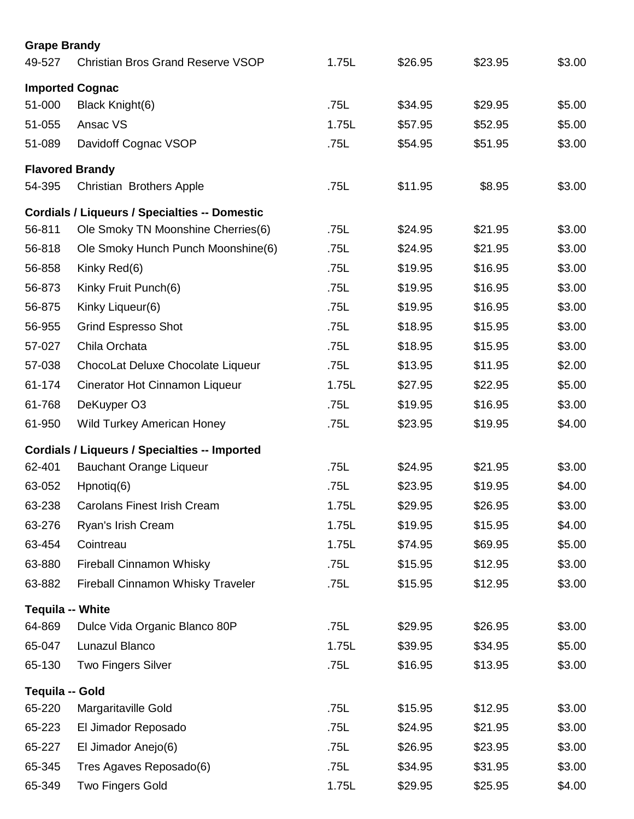| <b>Grape Brandy</b>     |                                                      |       |         |         |        |  |  |  |
|-------------------------|------------------------------------------------------|-------|---------|---------|--------|--|--|--|
| 49-527                  | <b>Christian Bros Grand Reserve VSOP</b>             | 1.75L | \$26.95 | \$23.95 | \$3.00 |  |  |  |
| <b>Imported Cognac</b>  |                                                      |       |         |         |        |  |  |  |
| 51-000                  | Black Knight(6)                                      | .75L  | \$34.95 | \$29.95 | \$5.00 |  |  |  |
| 51-055                  | Ansac VS                                             | 1.75L | \$57.95 | \$52.95 | \$5.00 |  |  |  |
| 51-089                  | Davidoff Cognac VSOP                                 | .75L  | \$54.95 | \$51.95 | \$3.00 |  |  |  |
| <b>Flavored Brandy</b>  |                                                      |       |         |         |        |  |  |  |
| 54-395                  | <b>Christian Brothers Apple</b>                      | .75L  | \$11.95 | \$8.95  | \$3.00 |  |  |  |
|                         | <b>Cordials / Liqueurs / Specialties -- Domestic</b> |       |         |         |        |  |  |  |
| 56-811                  | Ole Smoky TN Moonshine Cherries(6)                   | .75L  | \$24.95 | \$21.95 | \$3.00 |  |  |  |
| 56-818                  | Ole Smoky Hunch Punch Moonshine(6)                   | .75L  | \$24.95 | \$21.95 | \$3.00 |  |  |  |
| 56-858                  | Kinky Red(6)                                         | .75L  | \$19.95 | \$16.95 | \$3.00 |  |  |  |
| 56-873                  | Kinky Fruit Punch(6)                                 | .75L  | \$19.95 | \$16.95 | \$3.00 |  |  |  |
| 56-875                  | Kinky Liqueur(6)                                     | .75L  | \$19.95 | \$16.95 | \$3.00 |  |  |  |
| 56-955                  | <b>Grind Espresso Shot</b>                           | .75L  | \$18.95 | \$15.95 | \$3.00 |  |  |  |
| 57-027                  | Chila Orchata                                        | .75L  | \$18.95 | \$15.95 | \$3.00 |  |  |  |
| 57-038                  | ChocoLat Deluxe Chocolate Liqueur                    | .75L  | \$13.95 | \$11.95 | \$2.00 |  |  |  |
| 61-174                  | Cinerator Hot Cinnamon Liqueur                       | 1.75L | \$27.95 | \$22.95 | \$5.00 |  |  |  |
| 61-768                  | DeKuyper O3                                          | .75L  | \$19.95 | \$16.95 | \$3.00 |  |  |  |
| 61-950                  | <b>Wild Turkey American Honey</b>                    | .75L  | \$23.95 | \$19.95 | \$4.00 |  |  |  |
|                         | <b>Cordials / Liqueurs / Specialties -- Imported</b> |       |         |         |        |  |  |  |
| 62-401                  | <b>Bauchant Orange Liqueur</b>                       | .75L  | \$24.95 | \$21.95 | \$3.00 |  |  |  |
| 63-052                  | Hpnotiq(6)                                           | .75L  | \$23.95 | \$19.95 | \$4.00 |  |  |  |
| 63-238                  | <b>Carolans Finest Irish Cream</b>                   | 1.75L | \$29.95 | \$26.95 | \$3.00 |  |  |  |
| 63-276                  | Ryan's Irish Cream                                   | 1.75L | \$19.95 | \$15.95 | \$4.00 |  |  |  |
| 63-454                  | Cointreau                                            | 1.75L | \$74.95 | \$69.95 | \$5.00 |  |  |  |
| 63-880                  | <b>Fireball Cinnamon Whisky</b>                      | .75L  | \$15.95 | \$12.95 | \$3.00 |  |  |  |
| 63-882                  | Fireball Cinnamon Whisky Traveler                    | .75L  | \$15.95 | \$12.95 | \$3.00 |  |  |  |
| <b>Tequila -- White</b> |                                                      |       |         |         |        |  |  |  |
| 64-869                  | Dulce Vida Organic Blanco 80P                        | .75L  | \$29.95 | \$26.95 | \$3.00 |  |  |  |
| 65-047                  | Lunazul Blanco                                       | 1.75L | \$39.95 | \$34.95 | \$5.00 |  |  |  |
| 65-130                  | <b>Two Fingers Silver</b>                            | .75L  | \$16.95 | \$13.95 | \$3.00 |  |  |  |
| Tequila -- Gold         |                                                      |       |         |         |        |  |  |  |
| 65-220                  | Margaritaville Gold                                  | .75L  | \$15.95 | \$12.95 | \$3.00 |  |  |  |
| 65-223                  | El Jimador Reposado                                  | .75L  | \$24.95 | \$21.95 | \$3.00 |  |  |  |
| 65-227                  | El Jimador Anejo(6)                                  | .75L  | \$26.95 | \$23.95 | \$3.00 |  |  |  |
| 65-345                  | Tres Agaves Reposado(6)                              | .75L  | \$34.95 | \$31.95 | \$3.00 |  |  |  |
| 65-349                  | <b>Two Fingers Gold</b>                              | 1.75L | \$29.95 | \$25.95 | \$4.00 |  |  |  |